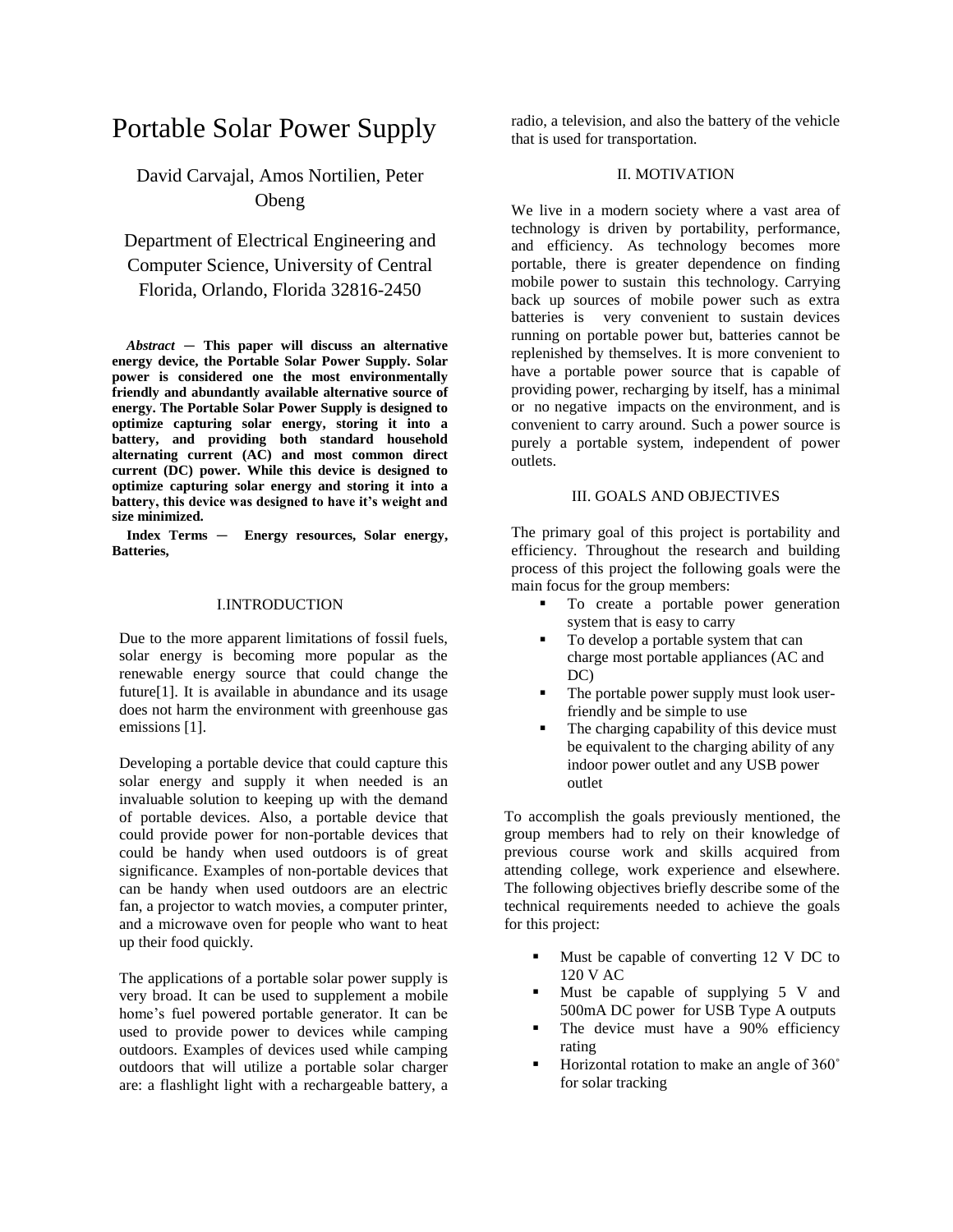# Portable Solar Power Supply

# David Carvajal, Amos Nortilien, Peter Obeng

# Department of Electrical Engineering and Computer Science, University of Central Florida, Orlando, Florida 32816-2450

*Abstract* — **This paper will discuss an alternative energy device, the Portable Solar Power Supply. Solar power is considered one the most environmentally friendly and abundantly available alternative source of energy. The Portable Solar Power Supply is designed to optimize capturing solar energy, storing it into a battery, and providing both standard household alternating current (AC) and most common direct current (DC) power. While this device is designed to optimize capturing solar energy and storing it into a battery, this device was designed to have it's weight and size minimized.**

**Index Terms** — **Energy resources, Solar energy, Batteries,**

#### I.INTRODUCTION

Due to the more apparent limitations of fossil fuels, solar energy is becoming more popular as the renewable energy source that could change the future[1]. It is available in abundance and its usage does not harm the environment with greenhouse gas emissions [1].

Developing a portable device that could capture this solar energy and supply it when needed is an invaluable solution to keeping up with the demand of portable devices. Also, a portable device that could provide power for non-portable devices that could be handy when used outdoors is of great significance. Examples of non-portable devices that can be handy when used outdoors are an electric fan, a projector to watch movies, a computer printer, and a microwave oven for people who want to heat up their food quickly.

The applications of a portable solar power supply is very broad. It can be used to supplement a mobile home's fuel powered portable generator. It can be used to provide power to devices while camping outdoors. Examples of devices used while camping outdoors that will utilize a portable solar charger are: a flashlight light with a rechargeable battery, a radio, a television, and also the battery of the vehicle that is used for transportation.

# II. MOTIVATION

We live in a modern society where a vast area of technology is driven by portability, performance, and efficiency. As technology becomes more portable, there is greater dependence on finding mobile power to sustain this technology. Carrying back up sources of mobile power such as extra batteries is very convenient to sustain devices running on portable power but, batteries cannot be replenished by themselves. It is more convenient to have a portable power source that is capable of providing power, recharging by itself, has a minimal or no negative impacts on the environment, and is convenient to carry around. Such a power source is purely a portable system, independent of power outlets.

# III. GOALS AND OBJECTIVES

The primary goal of this project is portability and efficiency. Throughout the research and building process of this project the following goals were the main focus for the group members:

- To create a portable power generation system that is easy to carry
- To develop a portable system that can charge most portable appliances (AC and DC)
- The portable power supply must look userfriendly and be simple to use
- The charging capability of this device must be equivalent to the charging ability of any indoor power outlet and any USB power outlet

To accomplish the goals previously mentioned, the group members had to rely on their knowledge of previous course work and skills acquired from attending college, work experience and elsewhere. The following objectives briefly describe some of the technical requirements needed to achieve the goals for this project:

- Must be capable of converting 12 V DC to 120 V AC
- Must be capable of supplying 5 V and 500mA DC power for USB Type A outputs
- The device must have a 90% efficiency rating
- Horizontal rotation to make an angle of 360˚ for solar tracking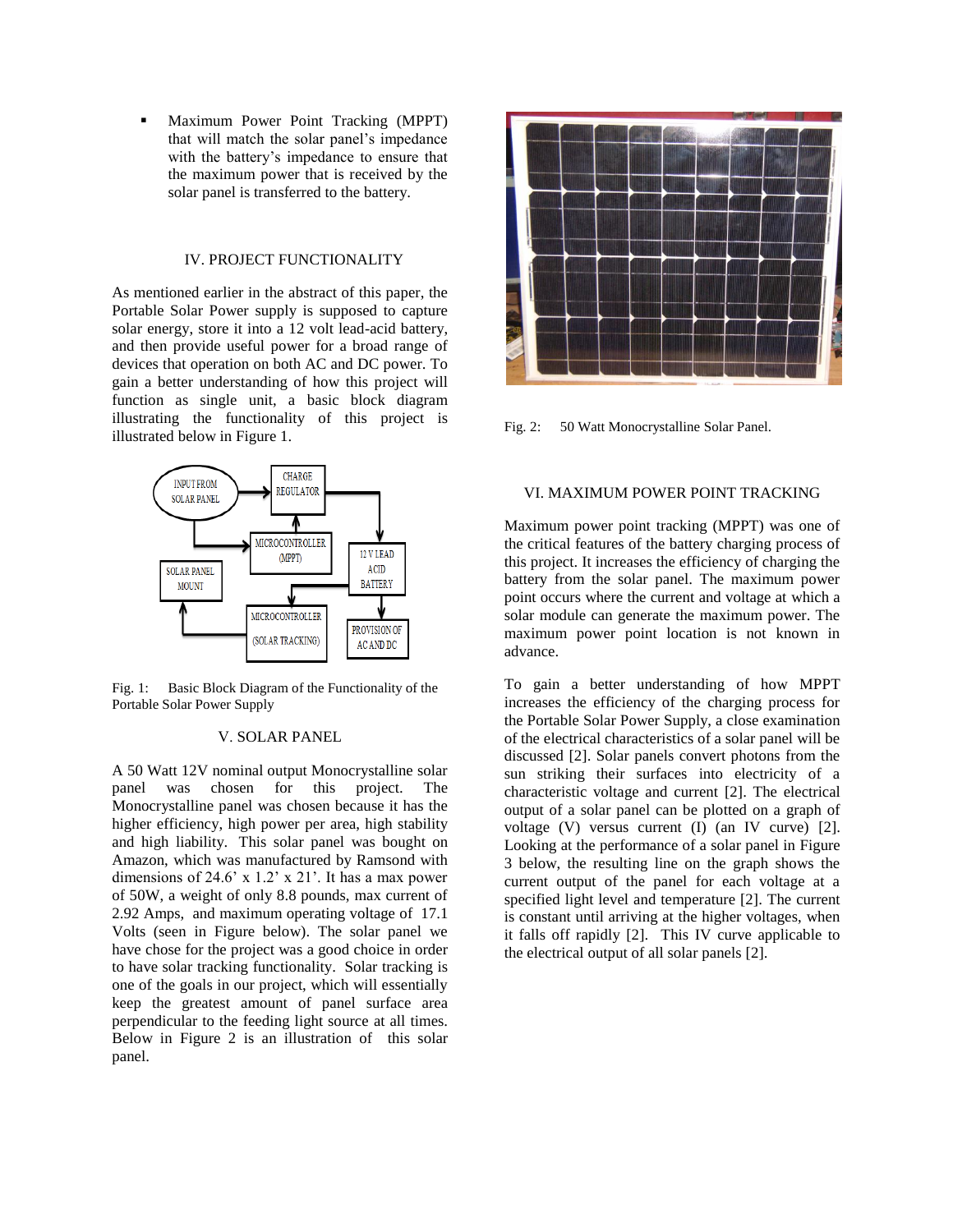Maximum Power Point Tracking (MPPT) that will match the solar panel's impedance with the battery's impedance to ensure that the maximum power that is received by the solar panel is transferred to the battery.

### IV. PROJECT FUNCTIONALITY

As mentioned earlier in the abstract of this paper, the Portable Solar Power supply is supposed to capture solar energy, store it into a 12 volt lead-acid battery, and then provide useful power for a broad range of devices that operation on both AC and DC power. To gain a better understanding of how this project will function as single unit, a basic block diagram illustrating the functionality of this project is illustrated below in Figure 1.



Fig. 1: Basic Block Diagram of the Functionality of the Portable Solar Power Supply

# V. SOLAR PANEL

A 50 Watt 12V nominal output Monocrystalline solar panel was chosen for this project. The Monocrystalline panel was chosen because it has the higher efficiency, high power per area, high stability and high liability. This solar panel was bought on Amazon, which was manufactured by Ramsond with dimensions of 24.6' x 1.2' x 21'. It has a max power of 50W, a weight of only 8.8 pounds, max current of 2.92 Amps, and maximum operating voltage of 17.1 Volts (seen in Figure below). The solar panel we have chose for the project was a good choice in order to have solar tracking functionality. Solar tracking is one of the goals in our project, which will essentially keep the greatest amount of panel surface area perpendicular to the feeding light source at all times. Below in Figure 2 is an illustration of this solar panel.



Fig. 2: 50 Watt Monocrystalline Solar Panel.

#### VI. MAXIMUM POWER POINT TRACKING

Maximum power point tracking (MPPT) was one of the critical features of the battery charging process of this project. It increases the efficiency of charging the battery from the solar panel. The maximum power point occurs where the current and voltage at which a solar module can generate the maximum power. The maximum power point location is not known in advance.

To gain a better understanding of how MPPT increases the efficiency of the charging process for the Portable Solar Power Supply, a close examination of the electrical characteristics of a solar panel will be discussed [2]. Solar panels convert photons from the sun striking their surfaces into electricity of a characteristic voltage and current [2]. The electrical output of a solar panel can be plotted on a graph of voltage (V) versus current (I) (an IV curve) [2]. Looking at the performance of a solar panel in Figure 3 below, the resulting line on the graph shows the current output of the panel for each voltage at a specified light level and temperature [2]. The current is constant until arriving at the higher voltages, when it falls off rapidly [2]. This IV curve applicable to the electrical output of all solar panels [2].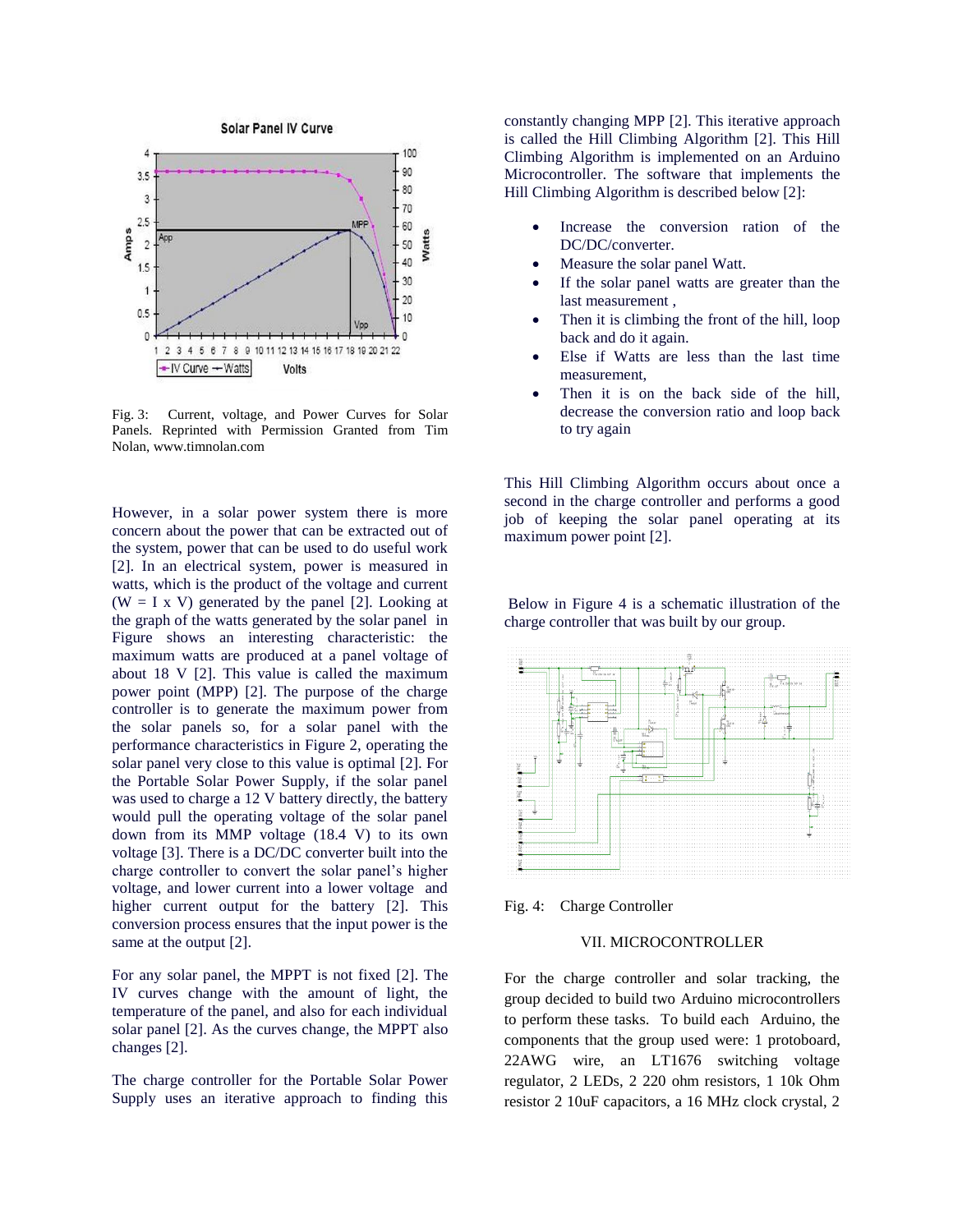

Fig. 3: Current, voltage, and Power Curves for Solar Panels. Reprinted with Permission Granted from Tim Nolan, www.timnolan.com

However, in a solar power system there is more concern about the power that can be extracted out of the system, power that can be used to do useful work [2]. In an electrical system, power is measured in watts, which is the product of the voltage and current (W = I x V) generated by the panel [2]. Looking at the graph of the watts generated by the solar panel in Figure shows an interesting characteristic: the maximum watts are produced at a panel voltage of about 18 V [2]. This value is called the maximum power point (MPP) [2]. The purpose of the charge controller is to generate the maximum power from the solar panels so, for a solar panel with the performance characteristics in Figure 2, operating the solar panel very close to this value is optimal [2]. For the Portable Solar Power Supply, if the solar panel was used to charge a 12 V battery directly, the battery would pull the operating voltage of the solar panel down from its MMP voltage (18.4 V) to its own voltage [3]. There is a DC/DC converter built into the charge controller to convert the solar panel's higher voltage, and lower current into a lower voltage and higher current output for the battery [2]. This conversion process ensures that the input power is the same at the output [2].

For any solar panel, the MPPT is not fixed [2]. The IV curves change with the amount of light, the temperature of the panel, and also for each individual solar panel [2]. As the curves change, the MPPT also changes [2].

The charge controller for the Portable Solar Power Supply uses an iterative approach to finding this constantly changing MPP [2]. This iterative approach is called the Hill Climbing Algorithm [2]. This Hill Climbing Algorithm is implemented on an Arduino Microcontroller. The software that implements the Hill Climbing Algorithm is described below [2]:

- Increase the conversion ration of the DC/DC/converter.
- Measure the solar panel Watt.
- If the solar panel watts are greater than the last measurement ,
- Then it is climbing the front of the hill, loop back and do it again.
- Else if Watts are less than the last time measurement,
- Then it is on the back side of the hill, decrease the conversion ratio and loop back to try again

This Hill Climbing Algorithm occurs about once a second in the charge controller and performs a good job of keeping the solar panel operating at its maximum power point [2].

Below in Figure 4 is a schematic illustration of the charge controller that was built by our group.



Fig. 4: Charge Controller

# VII. MICROCONTROLLER

For the charge controller and solar tracking, the group decided to build two Arduino microcontrollers to perform these tasks. To build each Arduino, the components that the group used were: 1 protoboard, 22AWG wire, an LT1676 switching voltage regulator, 2 LEDs, 2 220 ohm resistors, 1 10k Ohm resistor 2 10uF capacitors, a 16 MHz clock crystal, 2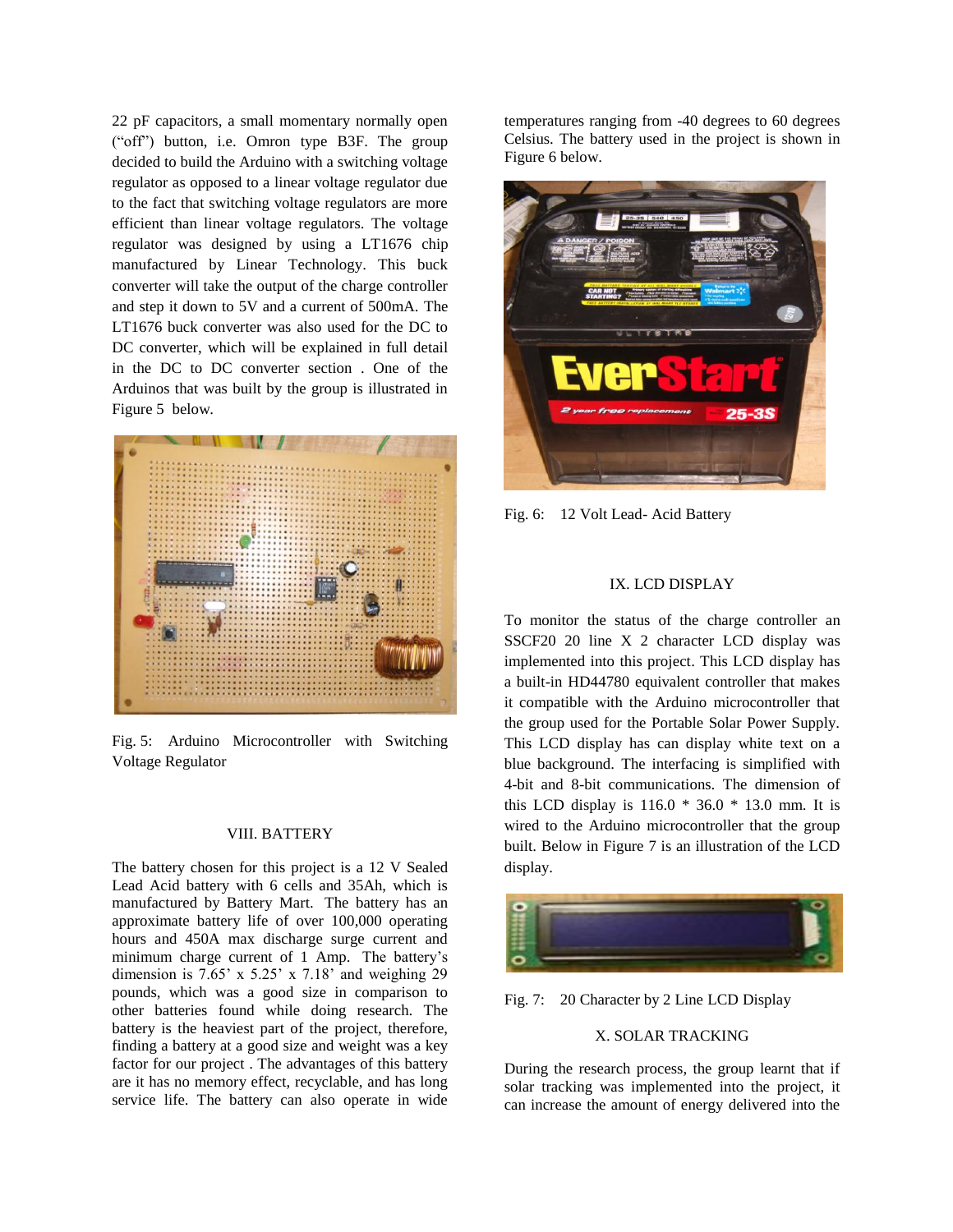22 pF capacitors, a small momentary normally open ("off") button, i.e. Omron type B3F. The group decided to build the Arduino with a switching voltage regulator as opposed to a linear voltage regulator due to the fact that switching voltage regulators are more efficient than linear voltage regulators. The voltage regulator was designed by using a LT1676 chip manufactured by Linear Technology. This buck converter will take the output of the charge controller and step it down to 5V and a current of 500mA. The LT1676 buck converter was also used for the DC to DC converter, which will be explained in full detail in the DC to DC converter section . One of the Arduinos that was built by the group is illustrated in Figure 5 below.



Fig. 5: Arduino Microcontroller with Switching Voltage Regulator

#### VIII. BATTERY

The battery chosen for this project is a 12 V Sealed Lead Acid battery with 6 cells and 35Ah, which is manufactured by Battery Mart. The battery has an approximate battery life of over 100,000 operating hours and 450A max discharge surge current and minimum charge current of 1 Amp. The battery's dimension is  $7.65' \times 5.25' \times 7.18'$  and weighing 29 pounds, which was a good size in comparison to other batteries found while doing research. The battery is the heaviest part of the project, therefore, finding a battery at a good size and weight was a key factor for our project . The advantages of this battery are it has no memory effect, recyclable, and has long service life. The battery can also operate in wide

temperatures ranging from -40 degrees to 60 degrees Celsius. The battery used in the project is shown in Figure 6 below.



Fig. 6: 12 Volt Lead- Acid Battery

# IX. LCD DISPLAY

To monitor the status of the charge controller an SSCF20 20 line X 2 character LCD display was implemented into this project. This LCD display has a built-in HD44780 equivalent controller that makes it compatible with the Arduino microcontroller that the group used for the Portable Solar Power Supply. This LCD display has can display white text on a blue background. The interfacing is simplified with 4-bit and 8-bit communications. The dimension of this LCD display is 116.0 \* 36.0 \* 13.0 mm. It is wired to the Arduino microcontroller that the group built. Below in Figure 7 is an illustration of the LCD display.



Fig. 7: 20 Character by 2 Line LCD Display

# X. SOLAR TRACKING

During the research process, the group learnt that if solar tracking was implemented into the project, it can increase the amount of energy delivered into the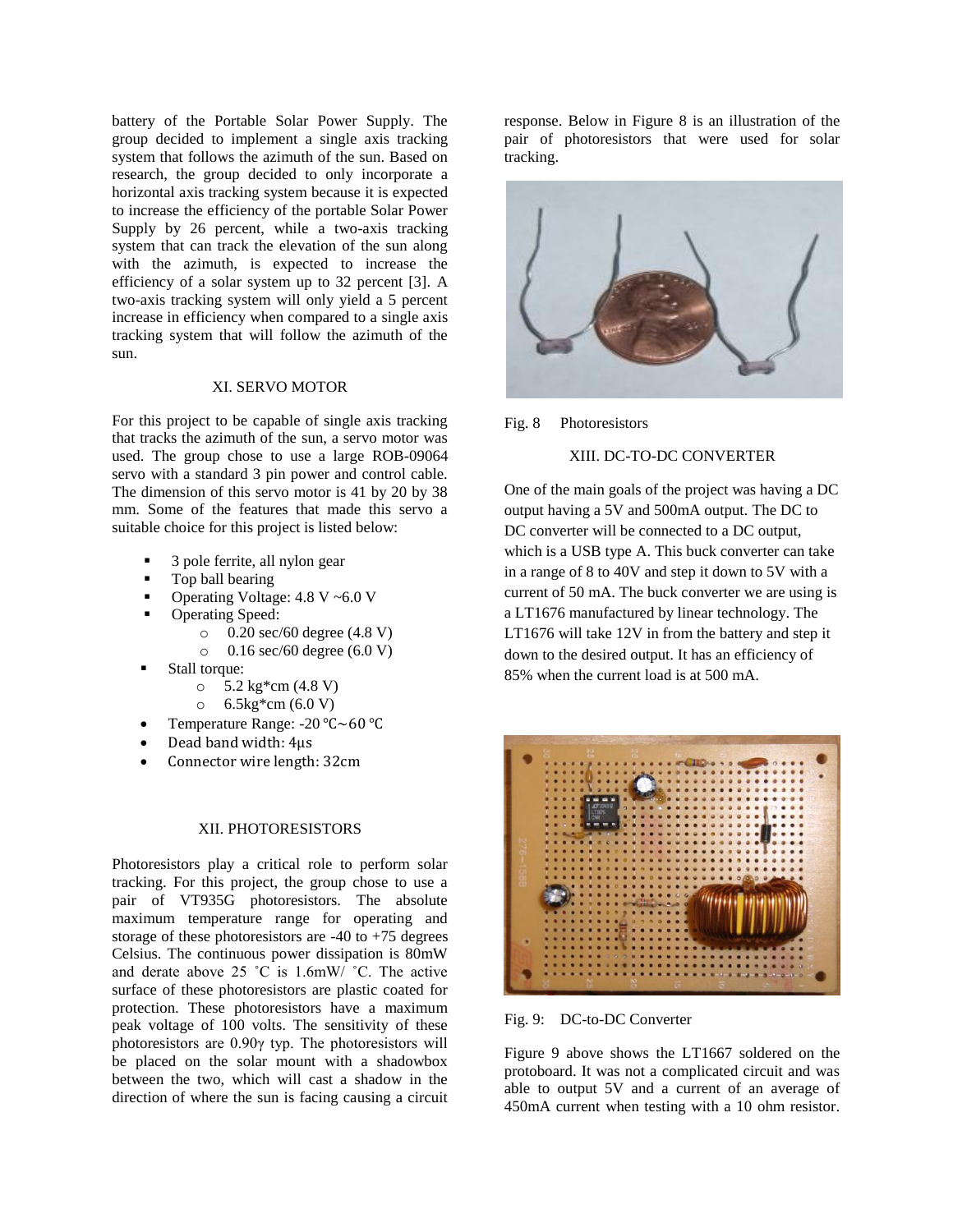battery of the Portable Solar Power Supply. The group decided to implement a single axis tracking system that follows the azimuth of the sun. Based on research, the group decided to only incorporate a horizontal axis tracking system because it is expected to increase the efficiency of the portable Solar Power Supply by 26 percent, while a two-axis tracking system that can track the elevation of the sun along with the azimuth, is expected to increase the efficiency of a solar system up to 32 percent [3]. A two-axis tracking system will only yield a 5 percent increase in efficiency when compared to a single axis tracking system that will follow the azimuth of the sun.

### XI. SERVO MOTOR

For this project to be capable of single axis tracking that tracks the azimuth of the sun, a servo motor was used. The group chose to use a large ROB-09064 servo with a standard 3 pin power and control cable. The dimension of this servo motor is 41 by 20 by 38 mm. Some of the features that made this servo a suitable choice for this project is listed below:

- 3 pole ferrite, all nylon gear
- Top ball bearing
- Operating Voltage: 4.8 V ~6.0 V
- Operating Speed:
	- o 0.20 sec/60 degree (4.8 V)
		- o 0.16 sec/60 degree (6.0 V)
- Stall torque:
	- $\circ$  5.2 kg\*cm (4.8 V)
	- $\circ$  6.5 kg\*cm (6.0 V)
- Temperature Range: -20 ℃~60 ℃
- Dead band width: 4µs
- Connector wire length: 32cm

### XII. PHOTORESISTORS

Photoresistors play a critical role to perform solar tracking. For this project, the group chose to use a pair of VT935G photoresistors. The absolute maximum temperature range for operating and storage of these photoresistors are  $-40$  to  $+75$  degrees Celsius. The continuous power dissipation is 80mW and derate above 25 ˚C is 1.6mW/ ˚C. The active surface of these photoresistors are plastic coated for protection. These photoresistors have a maximum peak voltage of 100 volts. The sensitivity of these photoresistors are 0.90γ typ. The photoresistors will be placed on the solar mount with a shadowbox between the two, which will cast a shadow in the direction of where the sun is facing causing a circuit

response. Below in Figure 8 is an illustration of the pair of photoresistors that were used for solar tracking.





# XIII. DC-TO-DC CONVERTER

One of the main goals of the project was having a DC output having a 5V and 500mA output. The DC to DC converter will be connected to a DC output, which is a USB type A. This buck converter can take in a range of 8 to 40V and step it down to 5V with a current of 50 mA. The buck converter we are using is a LT1676 manufactured by linear technology. The LT1676 will take 12V in from the battery and step it down to the desired output. It has an efficiency of 85% when the current load is at 500 mA.



Fig. 9: DC-to-DC Converter

Figure 9 above shows the LT1667 soldered on the protoboard. It was not a complicated circuit and was able to output 5V and a current of an average of 450mA current when testing with a 10 ohm resistor.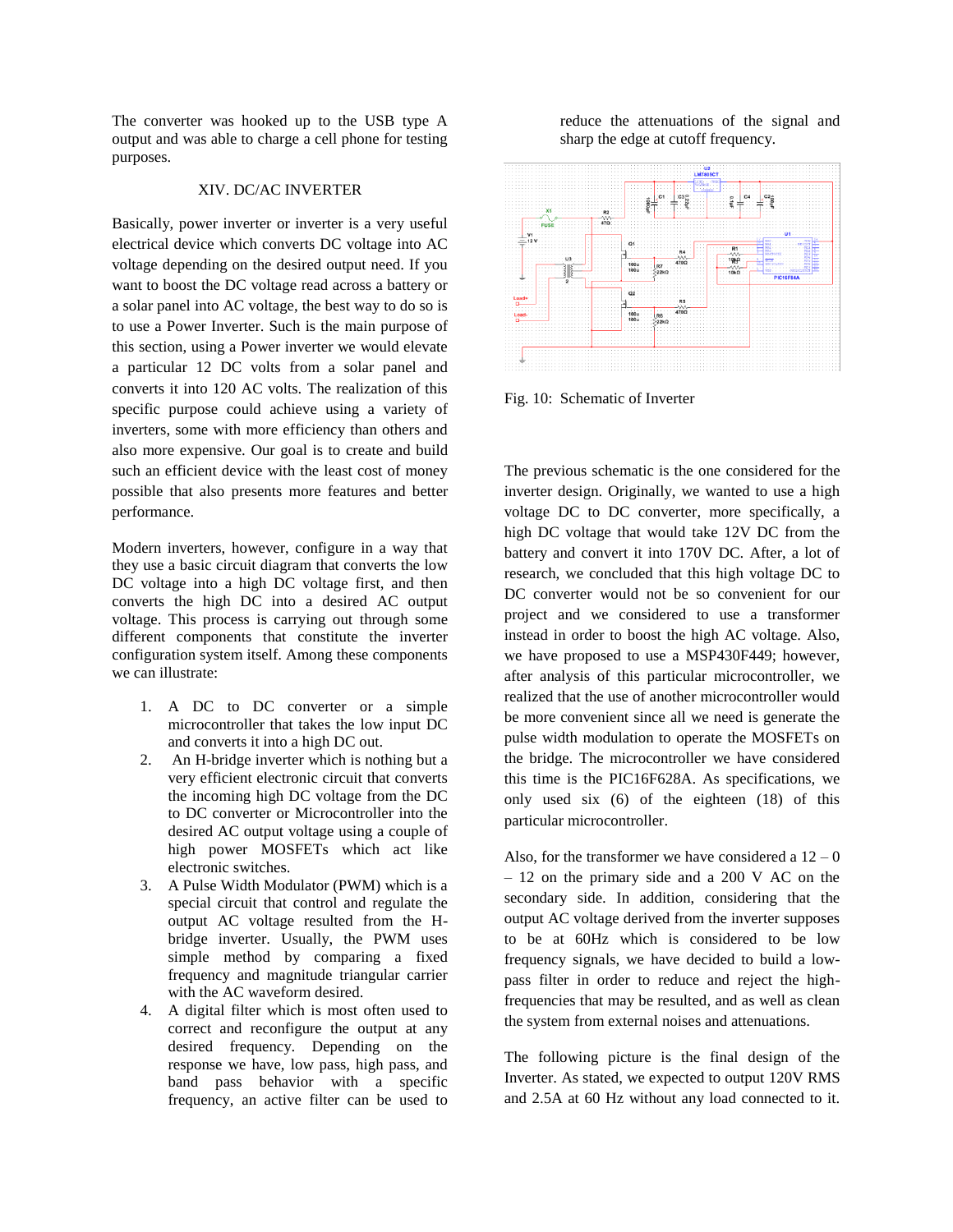The converter was hooked up to the USB type A output and was able to charge a cell phone for testing purposes.

# XIV. DC/AC INVERTER

Basically, power inverter or inverter is a very useful electrical device which converts DC voltage into AC voltage depending on the desired output need. If you want to boost the DC voltage read across a battery or a solar panel into AC voltage, the best way to do so is to use a Power Inverter. Such is the main purpose of this section, using a Power inverter we would elevate a particular 12 DC volts from a solar panel and converts it into 120 AC volts. The realization of this specific purpose could achieve using a variety of inverters, some with more efficiency than others and also more expensive. Our goal is to create and build such an efficient device with the least cost of money possible that also presents more features and better performance.

Modern inverters, however, configure in a way that they use a basic circuit diagram that converts the low DC voltage into a high DC voltage first, and then converts the high DC into a desired AC output voltage. This process is carrying out through some different components that constitute the inverter configuration system itself. Among these components we can illustrate:

- 1. A DC to DC converter or a simple microcontroller that takes the low input DC and converts it into a high DC out.
- 2. An H-bridge inverter which is nothing but a very efficient electronic circuit that converts the incoming high DC voltage from the DC to DC converter or Microcontroller into the desired AC output voltage using a couple of high power MOSFETs which act like electronic switches.
- 3. A Pulse Width Modulator (PWM) which is a special circuit that control and regulate the output AC voltage resulted from the Hbridge inverter. Usually, the PWM uses simple method by comparing a fixed frequency and magnitude triangular carrier with the AC waveform desired.
- 4. A digital filter which is most often used to correct and reconfigure the output at any desired frequency. Depending on the response we have, low pass, high pass, and band pass behavior with a specific frequency, an active filter can be used to

reduce the attenuations of the signal and sharp the edge at cutoff frequency.



Fig. 10: Schematic of Inverter

The previous schematic is the one considered for the inverter design. Originally, we wanted to use a high voltage DC to DC converter, more specifically, a high DC voltage that would take 12V DC from the battery and convert it into 170V DC. After, a lot of research, we concluded that this high voltage DC to DC converter would not be so convenient for our project and we considered to use a transformer instead in order to boost the high AC voltage. Also, we have proposed to use a MSP430F449; however, after analysis of this particular microcontroller, we realized that the use of another microcontroller would be more convenient since all we need is generate the pulse width modulation to operate the MOSFETs on the bridge. The microcontroller we have considered this time is the PIC16F628A. As specifications, we only used six (6) of the eighteen (18) of this particular microcontroller.

Also, for the transformer we have considered a  $12 - 0$ – 12 on the primary side and a 200 V AC on the secondary side. In addition, considering that the output AC voltage derived from the inverter supposes to be at 60Hz which is considered to be low frequency signals, we have decided to build a lowpass filter in order to reduce and reject the highfrequencies that may be resulted, and as well as clean the system from external noises and attenuations.

The following picture is the final design of the Inverter. As stated, we expected to output 120V RMS and 2.5A at 60 Hz without any load connected to it.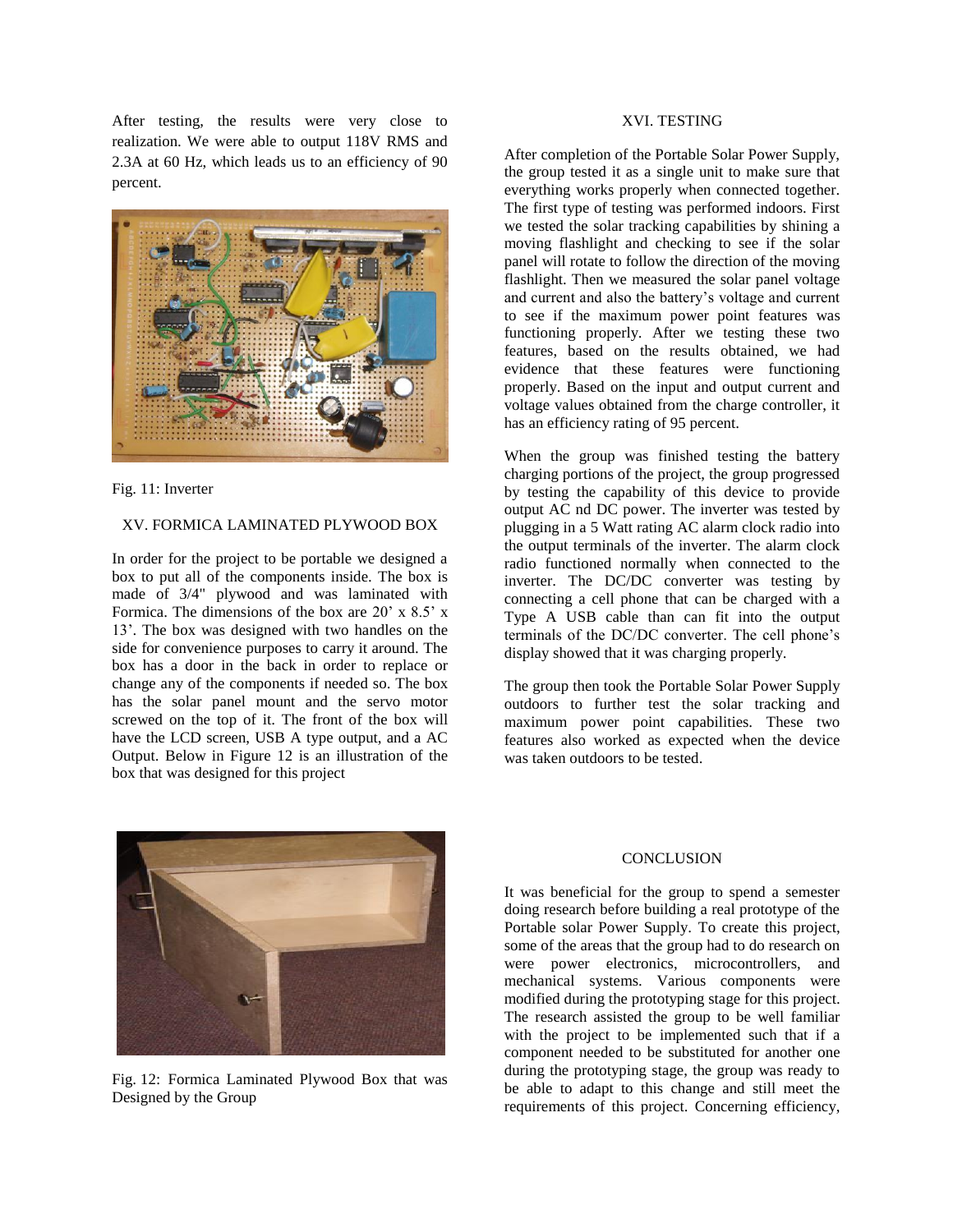After testing, the results were very close to realization. We were able to output 118V RMS and 2.3A at 60 Hz, which leads us to an efficiency of 90 percent.



Fig. 11: Inverter

#### XV. FORMICA LAMINATED PLYWOOD BOX

In order for the project to be portable we designed a box to put all of the components inside. The box is made of 3/4" plywood and was laminated with Formica. The dimensions of the box are 20' x 8.5' x 13'. The box was designed with two handles on the side for convenience purposes to carry it around. The box has a door in the back in order to replace or change any of the components if needed so. The box has the solar panel mount and the servo motor screwed on the top of it. The front of the box will have the LCD screen, USB A type output, and a AC Output. Below in Figure 12 is an illustration of the box that was designed for this project



Fig. 12: Formica Laminated Plywood Box that was Designed by the Group

# XVI. TESTING

After completion of the Portable Solar Power Supply, the group tested it as a single unit to make sure that everything works properly when connected together. The first type of testing was performed indoors. First we tested the solar tracking capabilities by shining a moving flashlight and checking to see if the solar panel will rotate to follow the direction of the moving flashlight. Then we measured the solar panel voltage and current and also the battery's voltage and current to see if the maximum power point features was functioning properly. After we testing these two features, based on the results obtained, we had evidence that these features were functioning properly. Based on the input and output current and voltage values obtained from the charge controller, it has an efficiency rating of 95 percent.

When the group was finished testing the battery charging portions of the project, the group progressed by testing the capability of this device to provide output AC nd DC power. The inverter was tested by plugging in a 5 Watt rating AC alarm clock radio into the output terminals of the inverter. The alarm clock radio functioned normally when connected to the inverter. The DC/DC converter was testing by connecting a cell phone that can be charged with a Type A USB cable than can fit into the output terminals of the DC/DC converter. The cell phone's display showed that it was charging properly.

The group then took the Portable Solar Power Supply outdoors to further test the solar tracking and maximum power point capabilities. These two features also worked as expected when the device was taken outdoors to be tested.

#### **CONCLUSION**

It was beneficial for the group to spend a semester doing research before building a real prototype of the Portable solar Power Supply. To create this project, some of the areas that the group had to do research on were power electronics, microcontrollers, and mechanical systems. Various components were modified during the prototyping stage for this project. The research assisted the group to be well familiar with the project to be implemented such that if a component needed to be substituted for another one during the prototyping stage, the group was ready to be able to adapt to this change and still meet the requirements of this project. Concerning efficiency,